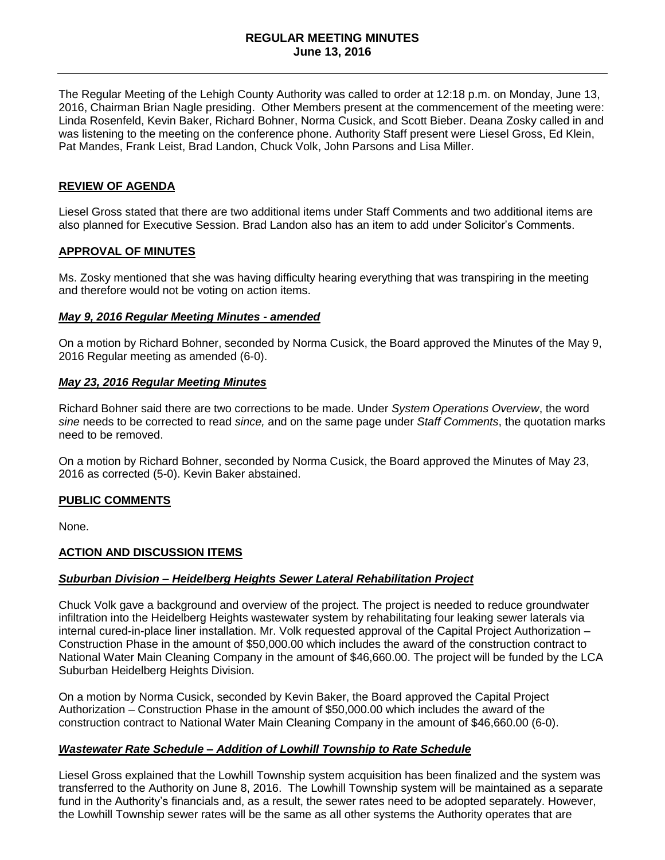### **REGULAR MEETING MINUTES June 13, 2016**

The Regular Meeting of the Lehigh County Authority was called to order at 12:18 p.m. on Monday, June 13, 2016, Chairman Brian Nagle presiding. Other Members present at the commencement of the meeting were: Linda Rosenfeld, Kevin Baker, Richard Bohner, Norma Cusick, and Scott Bieber. Deana Zosky called in and was listening to the meeting on the conference phone. Authority Staff present were Liesel Gross, Ed Klein, Pat Mandes, Frank Leist, Brad Landon, Chuck Volk, John Parsons and Lisa Miller.

### **REVIEW OF AGENDA**

Liesel Gross stated that there are two additional items under Staff Comments and two additional items are also planned for Executive Session. Brad Landon also has an item to add under Solicitor's Comments.

#### **APPROVAL OF MINUTES**

Ms. Zosky mentioned that she was having difficulty hearing everything that was transpiring in the meeting and therefore would not be voting on action items.

#### *May 9, 2016 Regular Meeting Minutes - amended*

On a motion by Richard Bohner, seconded by Norma Cusick, the Board approved the Minutes of the May 9, 2016 Regular meeting as amended (6-0).

#### *May 23, 2016 Regular Meeting Minutes*

Richard Bohner said there are two corrections to be made. Under *System Operations Overview*, the word *sine* needs to be corrected to read *since,* and on the same page under *Staff Comments*, the quotation marks need to be removed.

On a motion by Richard Bohner, seconded by Norma Cusick, the Board approved the Minutes of May 23, 2016 as corrected (5-0). Kevin Baker abstained.

#### **PUBLIC COMMENTS**

None.

### **ACTION AND DISCUSSION ITEMS**

#### *Suburban Division – Heidelberg Heights Sewer Lateral Rehabilitation Project*

Chuck Volk gave a background and overview of the project. The project is needed to reduce groundwater infiltration into the Heidelberg Heights wastewater system by rehabilitating four leaking sewer laterals via internal cured-in-place liner installation. Mr. Volk requested approval of the Capital Project Authorization – Construction Phase in the amount of \$50,000.00 which includes the award of the construction contract to National Water Main Cleaning Company in the amount of \$46,660.00. The project will be funded by the LCA Suburban Heidelberg Heights Division.

On a motion by Norma Cusick, seconded by Kevin Baker, the Board approved the Capital Project Authorization – Construction Phase in the amount of \$50,000.00 which includes the award of the construction contract to National Water Main Cleaning Company in the amount of \$46,660.00 (6-0).

### *Wastewater Rate Schedule – Addition of Lowhill Township to Rate Schedule*

Liesel Gross explained that the Lowhill Township system acquisition has been finalized and the system was transferred to the Authority on June 8, 2016. The Lowhill Township system will be maintained as a separate fund in the Authority's financials and, as a result, the sewer rates need to be adopted separately. However, the Lowhill Township sewer rates will be the same as all other systems the Authority operates that are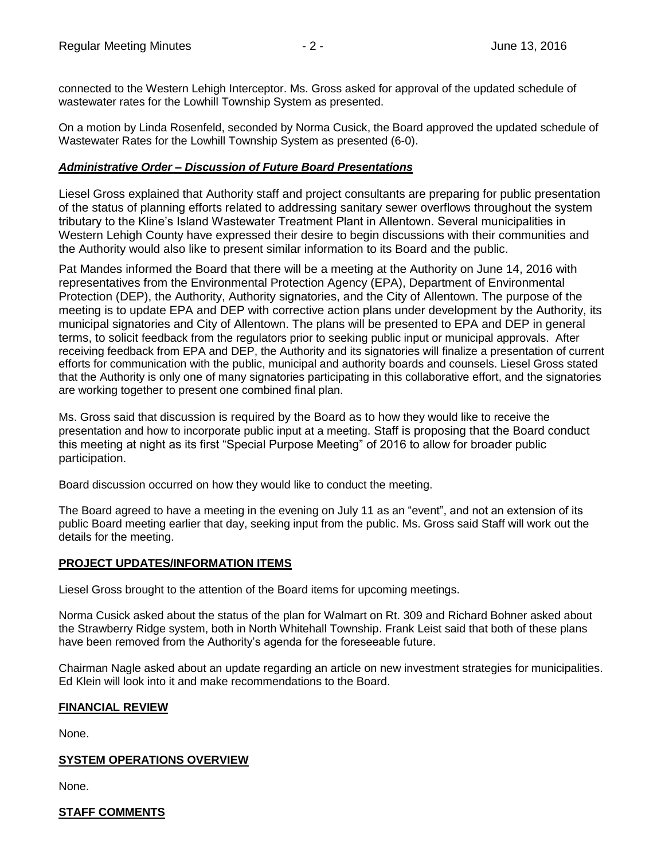connected to the Western Lehigh Interceptor. Ms. Gross asked for approval of the updated schedule of wastewater rates for the Lowhill Township System as presented.

On a motion by Linda Rosenfeld, seconded by Norma Cusick, the Board approved the updated schedule of Wastewater Rates for the Lowhill Township System as presented (6-0).

## *Administrative Order – Discussion of Future Board Presentations*

Liesel Gross explained that Authority staff and project consultants are preparing for public presentation of the status of planning efforts related to addressing sanitary sewer overflows throughout the system tributary to the Kline's Island Wastewater Treatment Plant in Allentown. Several municipalities in Western Lehigh County have expressed their desire to begin discussions with their communities and the Authority would also like to present similar information to its Board and the public.

Pat Mandes informed the Board that there will be a meeting at the Authority on June 14, 2016 with representatives from the Environmental Protection Agency (EPA), Department of Environmental Protection (DEP), the Authority, Authority signatories, and the City of Allentown. The purpose of the meeting is to update EPA and DEP with corrective action plans under development by the Authority, its municipal signatories and City of Allentown. The plans will be presented to EPA and DEP in general terms, to solicit feedback from the regulators prior to seeking public input or municipal approvals. After receiving feedback from EPA and DEP, the Authority and its signatories will finalize a presentation of current efforts for communication with the public, municipal and authority boards and counsels. Liesel Gross stated that the Authority is only one of many signatories participating in this collaborative effort, and the signatories are working together to present one combined final plan.

Ms. Gross said that discussion is required by the Board as to how they would like to receive the presentation and how to incorporate public input at a meeting. Staff is proposing that the Board conduct this meeting at night as its first "Special Purpose Meeting" of 2016 to allow for broader public participation.

Board discussion occurred on how they would like to conduct the meeting.

The Board agreed to have a meeting in the evening on July 11 as an "event", and not an extension of its public Board meeting earlier that day, seeking input from the public. Ms. Gross said Staff will work out the details for the meeting.

# **PROJECT UPDATES/INFORMATION ITEMS**

Liesel Gross brought to the attention of the Board items for upcoming meetings.

Norma Cusick asked about the status of the plan for Walmart on Rt. 309 and Richard Bohner asked about the Strawberry Ridge system, both in North Whitehall Township. Frank Leist said that both of these plans have been removed from the Authority's agenda for the foreseeable future.

Chairman Nagle asked about an update regarding an article on new investment strategies for municipalities. Ed Klein will look into it and make recommendations to the Board.

### **FINANCIAL REVIEW**

None.

### **SYSTEM OPERATIONS OVERVIEW**

None.

# **STAFF COMMENTS**